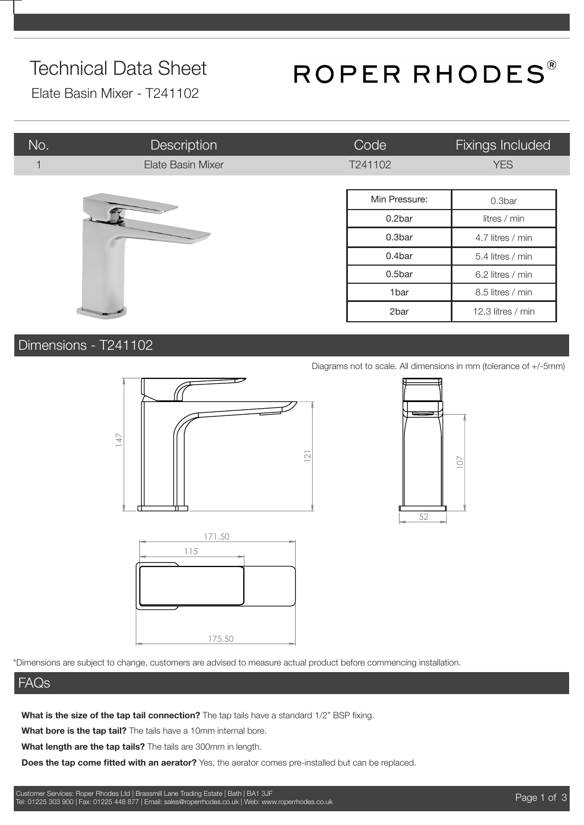## Technical Data Sheet

# ROPER RHODES®

Elate Basin Mixer - T241102

| No.                     | <b>Description</b> | Code             | Fixings Included  |
|-------------------------|--------------------|------------------|-------------------|
| $\overline{\mathbf{1}}$ | Elate Basin Mixer  | T241102          | <b>YES</b>        |
|                         |                    |                  |                   |
|                         |                    | Min Pressure:    | 0.3bar            |
|                         |                    | 0.2bar           | litres / min      |
|                         | 0.3bar             | 4.7 litres / min |                   |
|                         |                    | 0.4bar           | 5.4 litres / min  |
|                         |                    | 0.5bar           | 6.2 litres / min  |
|                         |                    | 1bar             | 8.5 litres / min  |
|                         |                    | 2bar             | 12.3 litres / min |

### Dimensions - T241102







#### FAQs

**What is the size of the tap tail connection?** The tap tails have a standard 1/2" BSP fixing.

**What bore is the tap tail?** The tails have a 10mm internal bore.

**What length are the tap tails?** The tails are 300mm in length.

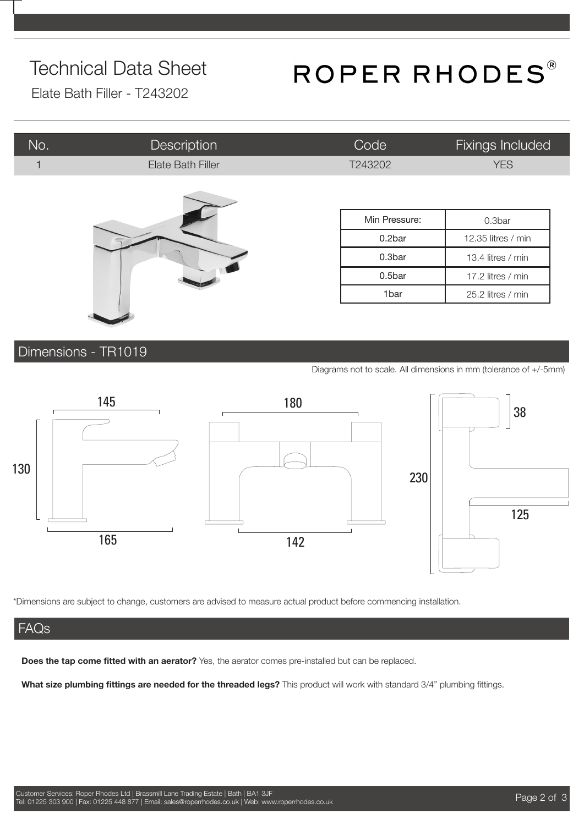## Technical Data Sheet

# ROPER RHODES®

Elate Bath Filler - T243202

| No.          | Description       | Code          | <b>Fixings Included</b> |
|--------------|-------------------|---------------|-------------------------|
| $\mathbf{1}$ | Elate Bath Filler | T243202       | <b>YES</b>              |
|              |                   |               |                         |
|              |                   | Min Pressure: | 0.3bar                  |
|              |                   | 0.2bar        | 12.35 litres / min      |
|              |                   | 0.3bar        | 13.4 litres / min       |
|              |                   | 0.5bar        | 17.2 litres / min       |
|              |                   | 1bar          | 25.2 litres / min       |
|              |                   |               |                         |

### Dimensions - TR1019

Diagrams not to scale. All dimensions in mm (tolerance of +/-5mm)



\*Dimensions are subject to change, customers are advised to measure actual product before commencing installation.

#### FAQs

**Does the tap come fitted with an aerator?** Yes, the aerator comes pre-installed but can be replaced.

**What size plumbing fittings are needed for the threaded legs?** This product will work with standard 3/4" plumbing fittings.